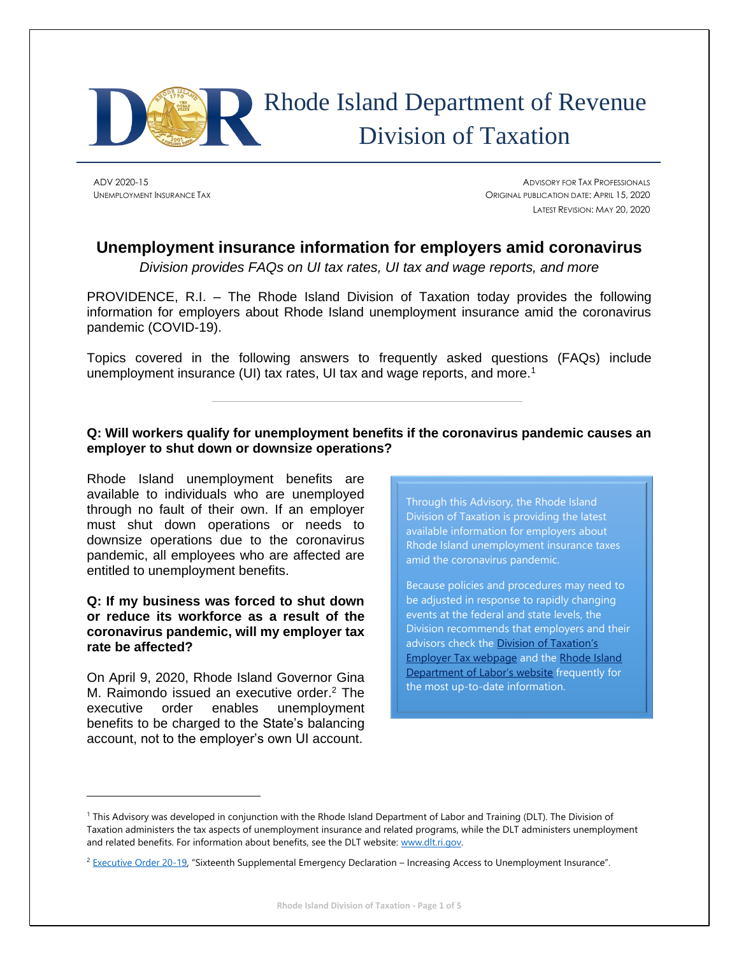

# Rhode Island Department of Revenue Division of Taxation

ADV 2020-15 ADVISORY FOR TAX PROFESSIONALS UNEMPLOYMENT INSURANCE TAX ORIGINAL PUBLICATION DATE: APRIL 15, 2020 LATEST REVISION: MAY 20, 2020

# **Unemployment insurance information for employers amid coronavirus**

*Division provides FAQs on UI tax rates, UI tax and wage reports, and more*

PROVIDENCE, R.I. – The Rhode Island Division of Taxation today provides the following information for employers about Rhode Island unemployment insurance amid the coronavirus pandemic (COVID-19).

Topics covered in the following answers to frequently asked questions (FAQs) include unemployment insurance (UI) tax rates, UI tax and wage reports, and more.<sup>1</sup>

#### **Q: Will workers qualify for unemployment benefits if the coronavirus pandemic causes an employer to shut down or downsize operations?**

Rhode Island unemployment benefits are available to individuals who are unemployed through no fault of their own. If an employer must shut down operations or needs to downsize operations due to the coronavirus pandemic, all employees who are affected are entitled to unemployment benefits.

#### **Q: If my business was forced to shut down or reduce its workforce as a result of the coronavirus pandemic, will my employer tax rate be affected?**

On April 9, 2020, Rhode Island Governor Gina M. Raimondo issued an executive order. <sup>2</sup> The executive order enables unemployment benefits to be charged to the State's balancing account, not to the employer's own UI account.

Through this Advisory, the Rhode Island Division of Taxation is providing the latest available information for employers about Rhode Island unemployment insurance taxes amid the coronavirus pandemic.

Because policies and procedures may need to be adjusted in response to rapidly changing events at the federal and state levels, the Division recommends that employers and their advisors check the Division of Taxation's [Employer Tax webpage](http://www.uitax.ri.gov/) and the [Rhode Island](http://www.dlt.ri.gov/)  [Department of Labor's website](http://www.dlt.ri.gov/) frequently for the most up-to-date information.

<sup>1</sup> This Advisory was developed in conjunction with the Rhode Island Department of Labor and Training (DLT). The Division of Taxation administers the tax aspects of unemployment insurance and related programs, while the DLT administers unemployment and related benefits. For information about benefits, see the DLT website[: www.dlt.ri.gov.](http://www.dlt.ri.gov/)

<sup>&</sup>lt;sup>2</sup> [Executive Order 20-19](http://www.governor.ri.gov/documents/orders/Executive-Order-20-19.pdf), "Sixteenth Supplemental Emergency Declaration – Increasing Access to Unemployment Insurance".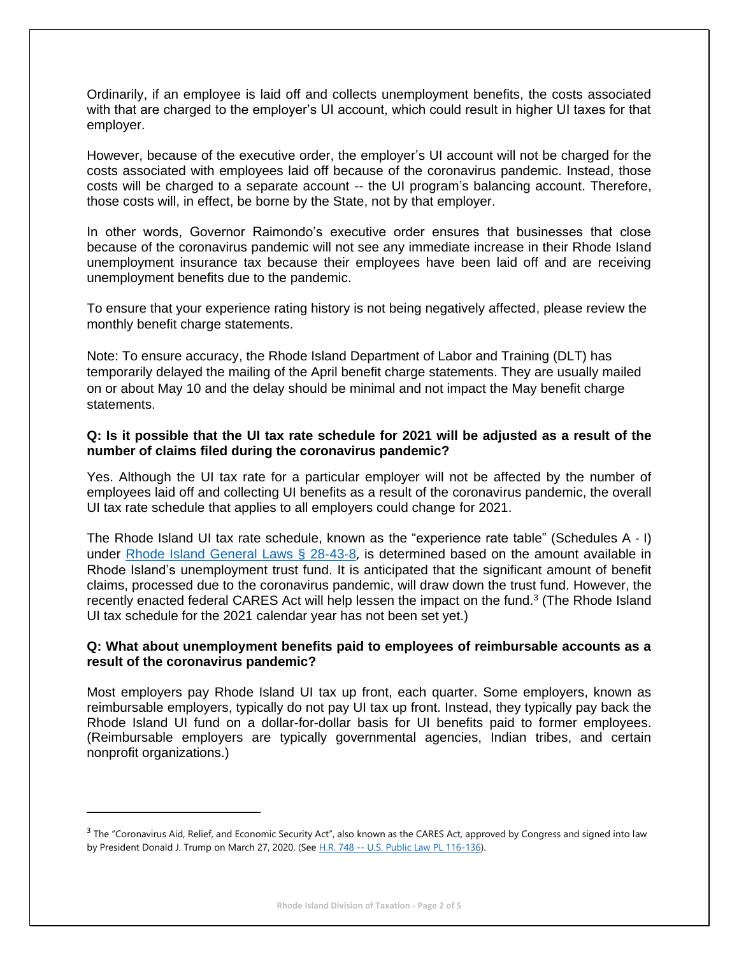Ordinarily, if an employee is laid off and collects unemployment benefits, the costs associated with that are charged to the employer's UI account, which could result in higher UI taxes for that employer.

However, because of the executive order, the employer's UI account will not be charged for the costs associated with employees laid off because of the coronavirus pandemic. Instead, those costs will be charged to a separate account -- the UI program's balancing account. Therefore, those costs will, in effect, be borne by the State, not by that employer.

In other words, Governor Raimondo's executive order ensures that businesses that close because of the coronavirus pandemic will not see any immediate increase in their Rhode Island unemployment insurance tax because their employees have been laid off and are receiving unemployment benefits due to the pandemic.

To ensure that your experience rating history is not being negatively affected, please review the monthly benefit charge statements.

Note: To ensure accuracy, the Rhode Island Department of Labor and Training (DLT) has temporarily delayed the mailing of the April benefit charge statements. They are usually mailed on or about May 10 and the delay should be minimal and not impact the May benefit charge statements.

#### **Q: Is it possible that the UI tax rate schedule for 2021 will be adjusted as a result of the number of claims filed during the coronavirus pandemic?**

Yes. Although the UI tax rate for a particular employer will not be affected by the number of employees laid off and collecting UI benefits as a result of the coronavirus pandemic, the overall UI tax rate schedule that applies to all employers could change for 2021.

The Rhode Island UI tax rate schedule, known as the "experience rate table" (Schedules A ‐ I) under [Rhode Island General Laws § 28](http://webserver.rilin.state.ri.us/Statutes/TITLE28/28-43/28-43-8.HTM)-43-8, is determined based on the amount available in Rhode Island's unemployment trust fund. It is anticipated that the significant amount of benefit claims, processed due to the coronavirus pandemic, will draw down the trust fund. However, the recently enacted federal CARES Act will help lessen the impact on the fund.<sup>3</sup> (The Rhode Island UI tax schedule for the 2021 calendar year has not been set yet.)

#### **Q: What about unemployment benefits paid to employees of reimbursable accounts as a result of the coronavirus pandemic?**

Most employers pay Rhode Island UI tax up front, each quarter. Some employers, known as reimbursable employers, typically do not pay UI tax up front. Instead, they typically pay back the Rhode Island UI fund on a dollar-for-dollar basis for UI benefits paid to former employees. (Reimbursable employers are typically governmental agencies, Indian tribes, and certain nonprofit organizations.)

<sup>&</sup>lt;sup>3</sup> The "Coronavirus Aid, Relief, and Economic Security Act", also known as the CARES Act, approved by Congress and signed into law by President Donald J. Trump on March 27, 2020. (See H.R. 748 -- [U.S. Public Law PL 116-136\).](https://www.congress.gov/bill/116th-congress/house-bill/748/text)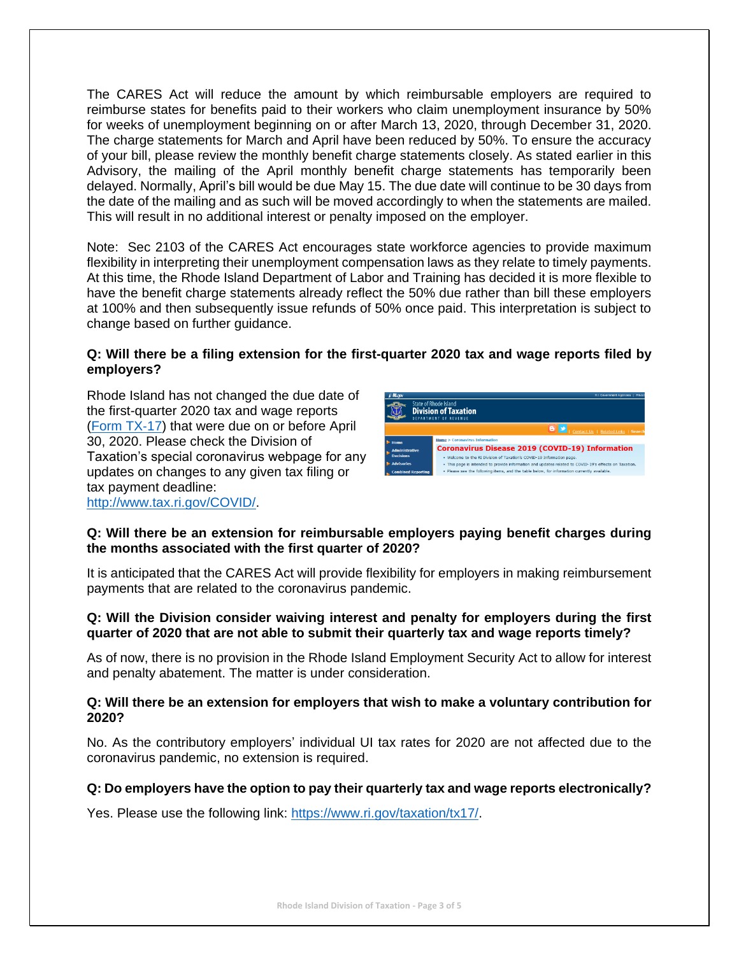The CARES Act will reduce the amount by which reimbursable employers are required to reimburse states for benefits paid to their workers who claim unemployment insurance by 50% for weeks of unemployment beginning on or after March 13, 2020, through December 31, 2020. The charge statements for March and April have been reduced by 50%. To ensure the accuracy of your bill, please review the monthly benefit charge statements closely. As stated earlier in this Advisory, the mailing of the April monthly benefit charge statements has temporarily been delayed. Normally, April's bill would be due May 15. The due date will continue to be 30 days from the date of the mailing and as such will be moved accordingly to when the statements are mailed. This will result in no additional interest or penalty imposed on the employer.

Note: Sec 2103 of the CARES Act encourages state workforce agencies to provide maximum flexibility in interpreting their unemployment compensation laws as they relate to timely payments. At this time, the Rhode Island Department of Labor and Training has decided it is more flexible to have the benefit charge statements already reflect the 50% due rather than bill these employers at 100% and then subsequently issue refunds of 50% once paid. This interpretation is subject to change based on further guidance.

#### **Q: Will there be a filing extension for the first-quarter 2020 tax and wage reports filed by employers?**

Rhode Island has not changed the due date of the first-quarter 2020 tax and wage reports [\(Form TX](http://www.uitax.ri.gov/docs/TX-Forms/2020/TX17-2020.pdf)‐17) that were due on or before April 30, 2020. Please check the Division of Taxation's special coronavirus webpage for any updates on changes to any given tax filing or tax payment deadline: [http://www.tax.ri.gov/COVID/.](http://www.tax.ri.gov/COVID/)



#### **Q: Will there be an extension for reimbursable employers paying benefit charges during the months associated with the first quarter of 2020?**

It is anticipated that the CARES Act will provide flexibility for employers in making reimbursement payments that are related to the coronavirus pandemic.

#### **Q: Will the Division consider waiving interest and penalty for employers during the first quarter of 2020 that are not able to submit their quarterly tax and wage reports timely?**

As of now, there is no provision in the Rhode Island Employment Security Act to allow for interest and penalty abatement. The matter is under consideration.

#### **Q: Will there be an extension for employers that wish to make a voluntary contribution for 2020?**

No. As the contributory employers' individual UI tax rates for 2020 are not affected due to the coronavirus pandemic, no extension is required.

### **Q: Do employers have the option to pay their quarterly tax and wage reports electronically?**

Yes. Please use the following link: [https://www.ri.gov/taxation/tx17/.](https://www.ri.gov/taxation/tx17/)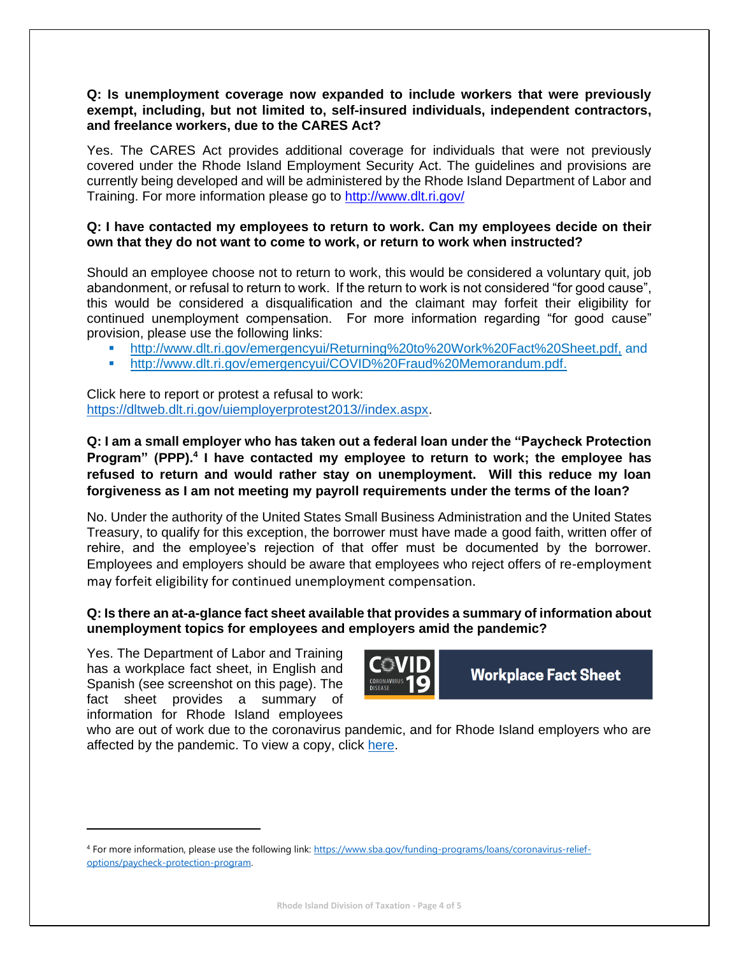#### **Q: Is unemployment coverage now expanded to include workers that were previously exempt, including, but not limited to, self**‐**insured individuals, independent contractors, and freelance workers, due to the CARES Act?**

Yes. The CARES Act provides additional coverage for individuals that were not previously covered under the Rhode Island Employment Security Act. The guidelines and provisions are currently being developed and will be administered by the Rhode Island Department of Labor and Training. For more information please go to<http://www.dlt.ri.gov/>

#### **Q: I have contacted my employees to return to work. Can my employees decide on their own that they do not want to come to work, or return to work when instructed?**

Should an employee choose not to return to work, this would be considered a voluntary quit, job abandonment, or refusal to return to work. If the return to work is not considered "for good cause", this would be considered a disqualification and the claimant may forfeit their eligibility for continued unemployment compensation. For more information regarding "for good cause" provision, please use the following links:

- [http://www.dlt.ri.gov/emergencyui/Returning%20to%20Work%20Fact%20Sheet.pdf,](http://www.dlt.ri.gov/emergencyui/Returning%20to%20Work%20Fact%20Sheet.pdf) and
- [http://www.dlt.ri.gov/emergencyui/COVID%20Fraud%20Memorandum.pdf.](http://www.dlt.ri.gov/emergencyui/COVID%20Fraud%20Memorandum.pdf)

Click here to report or protest a refusal to work: [https://dltweb.dlt.ri.gov/uiemployerprotest2013//index.aspx.](https://dltweb.dlt.ri.gov/uiemployerprotest2013/index.aspx)

## **Q: I am a small employer who has taken out a federal loan under the "Paycheck Protection Program" (PPP). 4 I have contacted my employee to return to work; the employee has refused to return and would rather stay on unemployment. Will this reduce my loan forgiveness as I am not meeting my payroll requirements under the terms of the loan?**

No. Under the authority of the United States Small Business Administration and the United States Treasury, to qualify for this exception, the borrower must have made a good faith, written offer of rehire, and the employee's rejection of that offer must be documented by the borrower. Employees and employers should be aware that employees who reject offers of re-employment may forfeit eligibility for continued unemployment compensation.

#### **Q: Is there an at-a-glance fact sheet available that provides a summary of information about unemployment topics for employees and employers amid the pandemic?**

Yes. The Department of Labor and Training has a workplace fact sheet, in English and Spanish (see screenshot on this page). The fact sheet provides a summary of information for Rhode Island employees



**Workplace Fact Sheet** 

who are out of work due to the coronavirus pandemic, and for Rhode Island employers who are affected by the pandemic. To view a copy, click [here.](http://www.dlt.ri.gov/pdfs/COVID-19%20Workplace%20Fact%20Sheet%204.8.2020.pdf)

<sup>4</sup> For more information, please use the following link: [https://www.sba.gov/funding-programs/loans/coronavirus-relief](https://www.sba.gov/funding-programs/loans/coronavirus-relief-options/paycheck-protection-program)[options/paycheck-protection-program.](https://www.sba.gov/funding-programs/loans/coronavirus-relief-options/paycheck-protection-program)